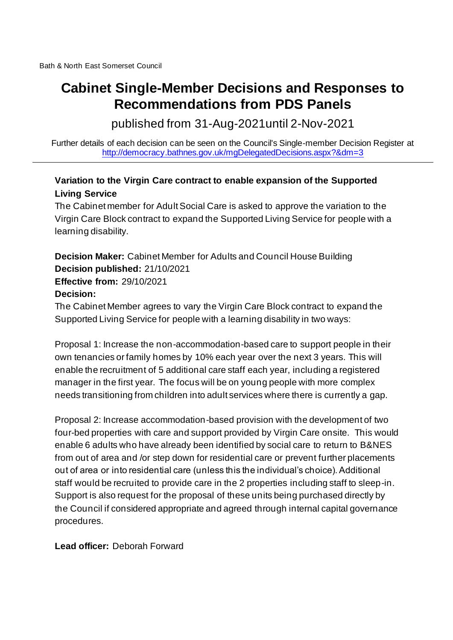## **Cabinet Single-Member Decisions and Responses to Recommendations from PDS Panels**

published from 31-Aug-2021until 2-Nov-2021

Further details of each decision can be seen on the Council's Single-member Decision Register at <http://democracy.bathnes.gov.uk/mgDelegatedDecisions.aspx?&dm=3>

## **Variation to the Virgin Care contract to enable expansion of the Supported Living Service**

The Cabinet member for Adult Social Care is asked to approve the variation to the Virgin Care Block contract to expand the Supported Living Service for people with a learning disability.

**Decision Maker:** Cabinet Member for Adults and Council House Building **Decision published:** 21/10/2021 **Effective from:** 29/10/2021 **Decision:**

The Cabinet Member agrees to vary the Virgin Care Block contract to expand the Supported Living Service for people with a learning disability in two ways:

Proposal 1: Increase the non-accommodation-based care to support people in their own tenancies or family homes by 10% each year over the next 3 years. This will enable the recruitment of 5 additional care staff each year, including a registered manager in the first year. The focus will be on young people with more complex needs transitioning from children into adult services where there is currently a gap.

Proposal 2: Increase accommodation-based provision with the development of two four-bed properties with care and support provided by Virgin Care onsite. This would enable 6 adults who have already been identified by social care to return to B&NES from out of area and /or step down for residential care or prevent further placements out of area or into residential care (unless this the individual's choice). Additional staff would be recruited to provide care in the 2 properties including staff to sleep-in. Support is also request for the proposal of these units being purchased directly by the Council if considered appropriate and agreed through internal capital governance procedures.

**Lead officer:** Deborah Forward